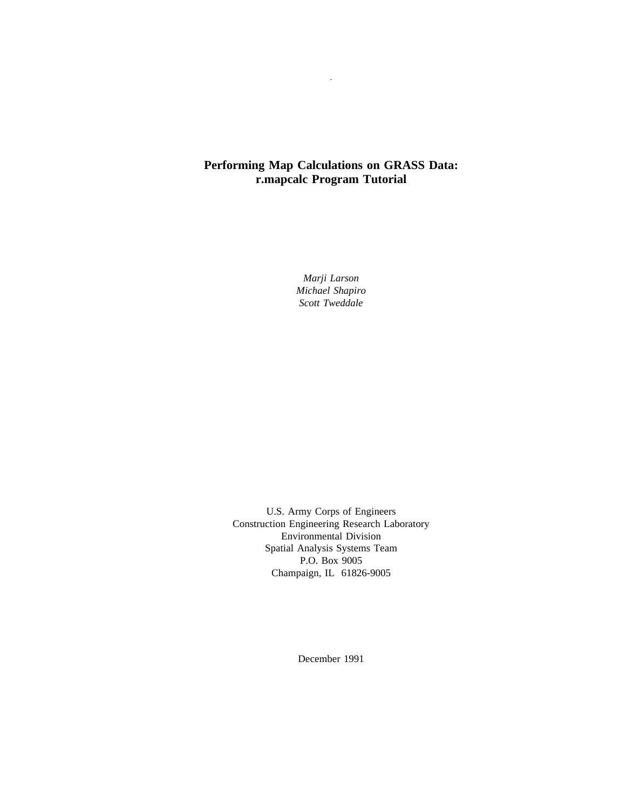## **Performing Map Calculations on GRASS Data: r.mapcalc Program Tutorial**

-

*Marji Larson Michael Shapiro Scott Tweddale*

U.S. Army Corps of Engineers Construction Engineering Research Laboratory Environmental Division Spatial Analysis Systems Team P.O. Box 9005 Champaign, IL 61826-9005

December 1991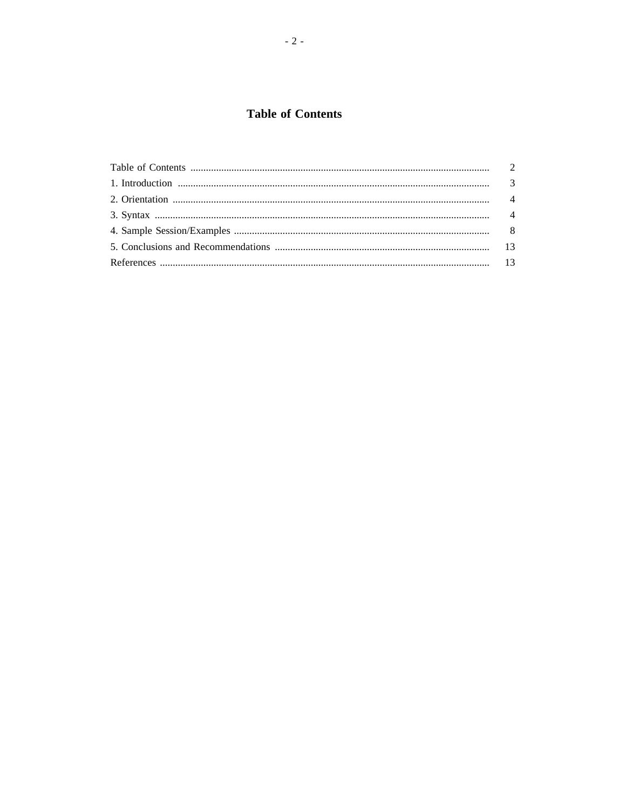# **Table of Contents**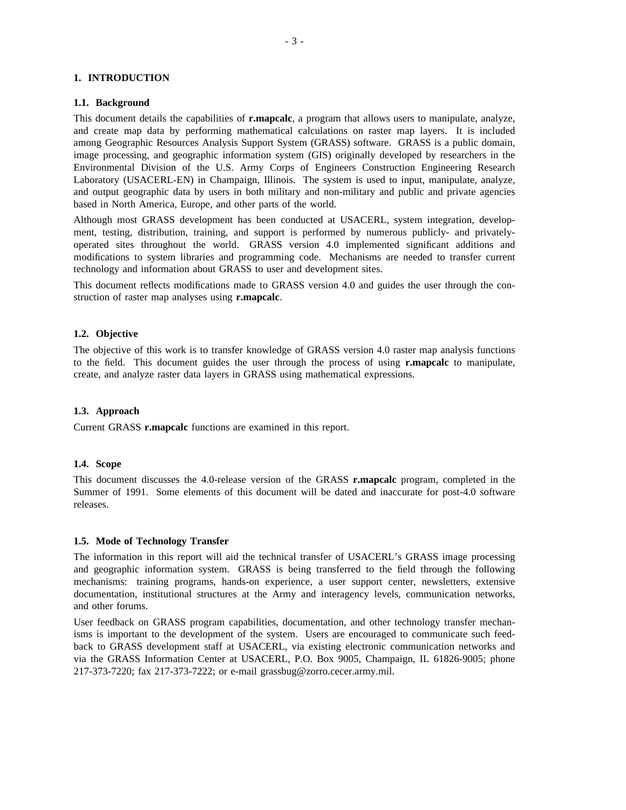### **1. INTRODUCTION**

### **1.1. Background**

This document details the capabilities of **r.mapcalc**, a program that allows users to manipulate, analyze, and create map data by performing mathematical calculations on raster map layers. It is included among Geographic Resources Analysis Support System (GRASS) software. GRASS is a public domain, image processing, and geographic information system (GIS) originally developed by researchers in the Environmental Division of the U.S. Army Corps of Engineers Construction Engineering Research Laboratory (USACERL-EN) in Champaign, Illinois. The system is used to input, manipulate, analyze, and output geographic data by users in both military and non-military and public and private agencies based in North America, Europe, and other parts of the world.

Although most GRASS development has been conducted at USACERL, system integration, development, testing, distribution, training, and support is performed by numerous publicly- and privatelyoperated sites throughout the world. GRASS version 4.0 implemented significant additions and modifications to system libraries and programming code. Mechanisms are needed to transfer current technology and information about GRASS to user and development sites.

This document reflects modifications made to GRASS version 4.0 and guides the user through the construction of raster map analyses using **r.mapcalc**.

### **1.2. Objective**

The objective of this work is to transfer knowledge of GRASS version 4.0 raster map analysis functions to the field. This document guides the user through the process of using **r.mapcalc** to manipulate, create, and analyze raster data layers in GRASS using mathematical expressions.

### **1.3. Approach**

Current GRASS **r.mapcalc** functions are examined in this report.

### **1.4. Scope**

This document discusses the 4.0-release version of the GRASS **r.mapcalc** program, completed in the Summer of 1991. Some elements of this document will be dated and inaccurate for post-4.0 software releases.

### **1.5. Mode of Technology Transfer**

The information in this report will aid the technical transfer of USACERL's GRASS image processing and geographic information system. GRASS is being transferred to the field through the following mechanisms: training programs, hands-on experience, a user support center, newsletters, extensive documentation, institutional structures at the Army and interagency levels, communication networks, and other forums.

User feedback on GRASS program capabilities, documentation, and other technology transfer mechanisms is important to the development of the system. Users are encouraged to communicate such feedback to GRASS development staff at USACERL, via existing electronic communication networks and via the GRASS Information Center at USACERL, P.O. Box 9005, Champaign, IL 61826-9005; phone 217-373-7220; fax 217-373-7222; or e-mail grassbug@zorro.cecer.army.mil.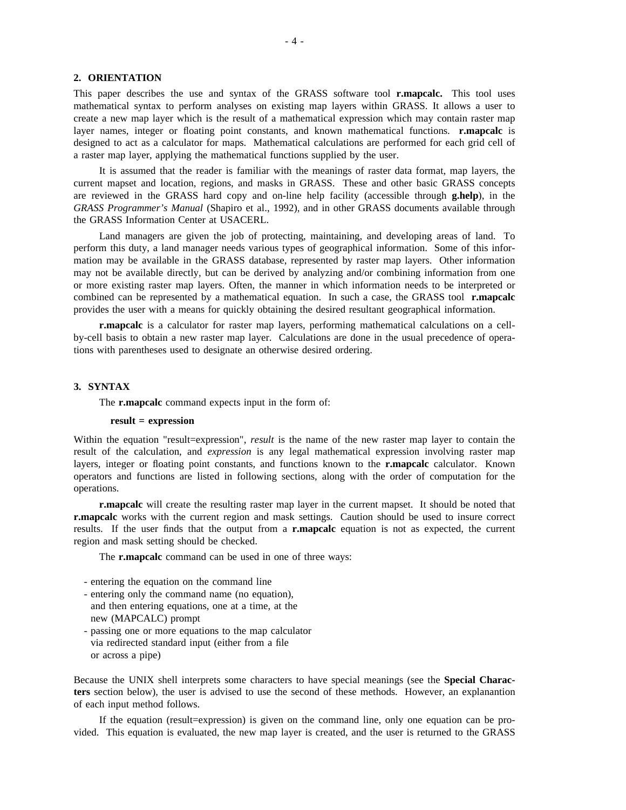### **2. ORIENTATION**

This paper describes the use and syntax of the GRASS software tool **r.mapcalc.** This tool uses mathematical syntax to perform analyses on existing map layers within GRASS. It allows a user to create a new map layer which is the result of a mathematical expression which may contain raster map layer names, integer or floating point constants, and known mathematical functions. **r.mapcalc** is designed to act as a calculator for maps. Mathematical calculations are performed for each grid cell of a raster map layer, applying the mathematical functions supplied by the user.

It is assumed that the reader is familiar with the meanings of raster data format, map layers, the current mapset and location, regions, and masks in GRASS. These and other basic GRASS concepts are reviewed in the GRASS hard copy and on-line help facility (accessible through **g.help**), in the *GRASS Programmer's Manual* (Shapiro et al., 1992), and in other GRASS documents available through the GRASS Information Center at USACERL.

Land managers are given the job of protecting, maintaining, and developing areas of land. To perform this duty, a land manager needs various types of geographical information. Some of this information may be available in the GRASS database, represented by raster map layers. Other information may not be available directly, but can be derived by analyzing and/or combining information from one or more existing raster map layers. Often, the manner in which information needs to be interpreted or combined can be represented by a mathematical equation. In such a case, the GRASS tool **r.mapcalc** provides the user with a means for quickly obtaining the desired resultant geographical information.

**r.mapcalc** is a calculator for raster map layers, performing mathematical calculations on a cellby-cell basis to obtain a new raster map layer. Calculations are done in the usual precedence of operations with parentheses used to designate an otherwise desired ordering.

### **3. SYNTAX**

The **r.mapcalc** command expects input in the form of:

### **result = expression**

Within the equation "result=expression", *result* is the name of the new raster map layer to contain the result of the calculation, and *expression* is any legal mathematical expression involving raster map layers, integer or floating point constants, and functions known to the **r.mapcalc** calculator. Known operators and functions are listed in following sections, along with the order of computation for the operations.

**r.mapcalc** will create the resulting raster map layer in the current mapset. It should be noted that **r.mapcalc** works with the current region and mask settings. Caution should be used to insure correct results. If the user finds that the output from a **r.mapcalc** equation is not as expected, the current region and mask setting should be checked.

The **r.mapcalc** command can be used in one of three ways:

- entering the equation on the command line
- entering only the command name (no equation), and then entering equations, one at a time, at the new (MAPCALC) prompt
- passing one or more equations to the map calculator via redirected standard input (either from a file or across a pipe)

Because the UNIX shell interprets some characters to have special meanings (see the **Special Characters** section below), the user is advised to use the second of these methods. However, an explanantion of each input method follows.

If the equation (result=expression) is given on the command line, only one equation can be provided. This equation is evaluated, the new map layer is created, and the user is returned to the GRASS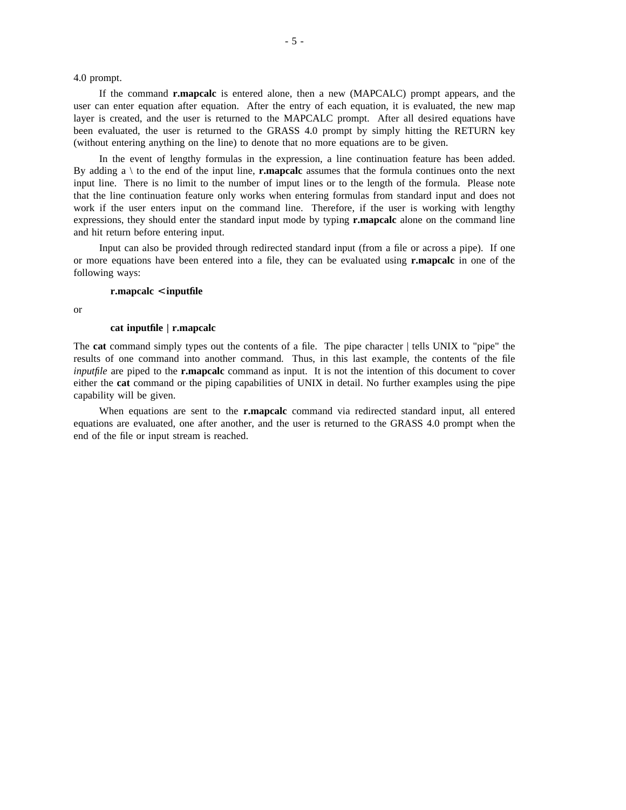4.0 prompt.

If the command **r.mapcalc** is entered alone, then a new (MAPCALC) prompt appears, and the user can enter equation after equation. After the entry of each equation, it is evaluated, the new map layer is created, and the user is returned to the MAPCALC prompt. After all desired equations have been evaluated, the user is returned to the GRASS 4.0 prompt by simply hitting the RETURN key (without entering anything on the line) to denote that no more equations are to be given.

In the event of lengthy formulas in the expression, a line continuation feature has been added. By adding a  $\setminus$  to the end of the input line, **r.mapcalc** assumes that the formula continues onto the next input line. There is no limit to the number of imput lines or to the length of the formula. Please note that the line continuation feature only works when entering formulas from standard input and does not work if the user enters input on the command line. Therefore, if the user is working with lengthy expressions, they should enter the standard input mode by typing **r.mapcalc** alone on the command line and hit return before entering input.

Input can also be provided through redirected standard input (from a file or across a pipe). If one or more equations have been entered into a file, they can be evaluated using **r.mapcalc** in one of the following ways:

### **r.mapcalc** < **inputfile**

or

#### **cat inputfile | r.mapcalc**

The **cat** command simply types out the contents of a file. The pipe character | tells UNIX to "pipe" the results of one command into another command. Thus, in this last example, the contents of the file *inputfile* are piped to the **r.mapcalc** command as input. It is not the intention of this document to cover either the **cat** command or the piping capabilities of UNIX in detail. No further examples using the pipe capability will be given.

When equations are sent to the **r.mapcalc** command via redirected standard input, all entered equations are evaluated, one after another, and the user is returned to the GRASS 4.0 prompt when the end of the file or input stream is reached.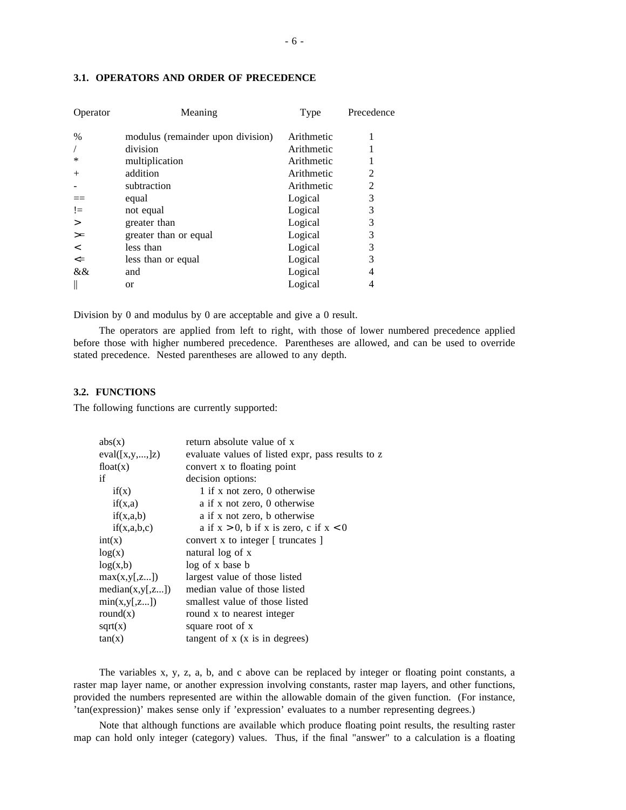| Operator | Meaning                           | Type       | Precedence |
|----------|-----------------------------------|------------|------------|
| $\%$     | modulus (remainder upon division) | Arithmetic | 1          |
|          | division                          | Arithmetic |            |
| ∗        | multiplication                    | Arithmetic |            |
| $^{+}$   | addition                          | Arithmetic | 2          |
|          | subtraction                       | Arithmetic | 2          |
|          | equal                             | Logical    | 3          |
| $!=$     | not equal                         | Logical    | 3          |
| $\geq$   | greater than                      | Logical    | 3          |
| $>=$     | greater than or equal             | Logical    | 3          |
| $\lt$    | less than                         | Logical    | 3          |
| $\leq$   | less than or equal                | Logical    | 3          |
| &&       | and                               | Logical    | 4          |
|          | or                                | Logical    |            |
|          |                                   |            |            |

### **3.1. OPERATORS AND ORDER OF PRECEDENCE**

Division by 0 and modulus by 0 are acceptable and give a 0 result.

The operators are applied from left to right, with those of lower numbered precedence applied before those with higher numbered precedence. Parentheses are allowed, and can be used to override stated precedence. Nested parentheses are allowed to any depth.

### **3.2. FUNCTIONS**

The following functions are currently supported:

| abs(x)          | return absolute value of x                        |
|-----------------|---------------------------------------------------|
| eval([x,y,,]z)  | evaluate values of listed expr, pass results to z |
| float(x)        | convert x to floating point                       |
| if              | decision options:                                 |
| if(x)           | 1 if x not zero, 0 otherwise                      |
| if(x,a)         | a if x not zero, 0 otherwise                      |
| if(x,a,b)       | a if x not zero, b otherwise                      |
| if(x,a,b,c)     | a if $x > 0$ , b if x is zero, c if $x < 0$       |
| int(x)          | convert x to integer $\lceil$ truncates $\rceil$  |
| log(x)          | natural log of x                                  |
| log(x,b)        | log of x base b                                   |
| max(x,y[,z])    | largest value of those listed                     |
| median(x,y[,z]) | median value of those listed                      |
| min(x,y[,z])    | smallest value of those listed                    |
| round $(x)$     | round x to nearest integer                        |
| sqrt(x)         | square root of x                                  |
| tan(x)          | tangent of $x$ ( $x$ is in degrees)               |
|                 |                                                   |

The variables x, y, z, a, b, and c above can be replaced by integer or floating point constants, a raster map layer name, or another expression involving constants, raster map layers, and other functions, provided the numbers represented are within the allowable domain of the given function. (For instance, 'tan(expression)' makes sense only if 'expression' evaluates to a number representing degrees.)

Note that although functions are available which produce floating point results, the resulting raster map can hold only integer (category) values. Thus, if the final "answer" to a calculation is a floating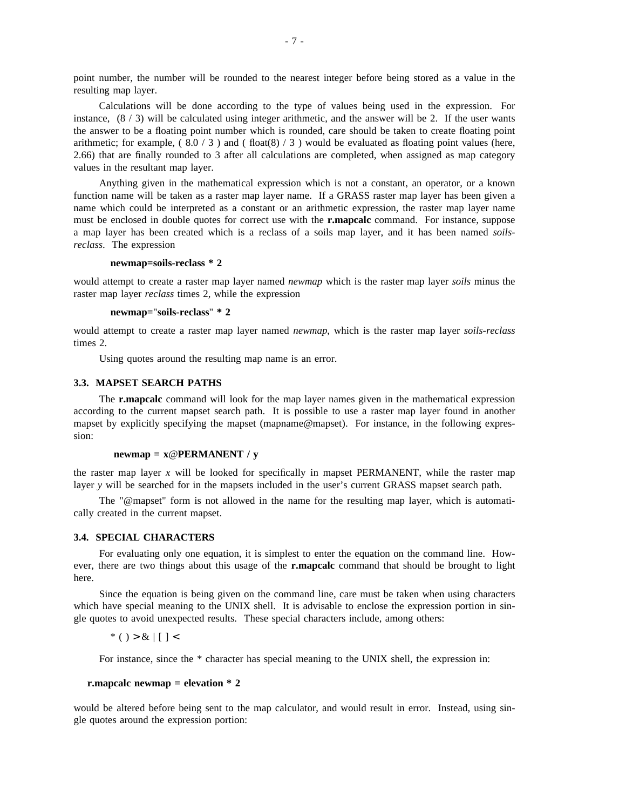point number, the number will be rounded to the nearest integer before being stored as a value in the resulting map layer.

Calculations will be done according to the type of values being used in the expression. For instance,  $(8/3)$  will be calculated using integer arithmetic, and the answer will be 2. If the user wants the answer to be a floating point number which is rounded, care should be taken to create floating point arithmetic; for example,  $(8.0 / 3)$  and  $($  float $(8) / 3)$  would be evaluated as floating point values (here, 2.66) that are finally rounded to 3 after all calculations are completed, when assigned as map category values in the resultant map layer.

Anything given in the mathematical expression which is not a constant, an operator, or a known function name will be taken as a raster map layer name. If a GRASS raster map layer has been given a name which could be interpreted as a constant or an arithmetic expression, the raster map layer name must be enclosed in double quotes for correct use with the **r.mapcalc** command. For instance, suppose a map layer has been created which is a reclass of a soils map layer, and it has been named *soilsreclass*. The expression

#### **newmap=soils-reclass \* 2**

would attempt to create a raster map layer named *newmap* which is the raster map layer *soils* minus the raster map layer *reclass* times 2, while the expression

### **newmap=**"**soils-reclass**" **\* 2**

would attempt to create a raster map layer named *newmap*, which is the raster map layer *soils-reclass* times 2.

Using quotes around the resulting map name is an error.

### **3.3. MAPSET SEARCH PATHS**

The **r.mapcalc** command will look for the map layer names given in the mathematical expression according to the current mapset search path. It is possible to use a raster map layer found in another mapset by explicitly specifying the mapset (mapname@mapset). For instance, in the following expression:

### **newmap = x**@**PERMANENT / y**

the raster map layer  $x$  will be looked for specifically in mapset PERMANENT, while the raster map layer *y* will be searched for in the mapsets included in the user's current GRASS mapset search path.

The "@mapset" form is not allowed in the name for the resulting map layer, which is automatically created in the current mapset.

### **3.4. SPECIAL CHARACTERS**

For evaluating only one equation, it is simplest to enter the equation on the command line. However, there are two things about this usage of the **r.mapcalc** command that should be brought to light here.

Since the equation is being given on the command line, care must be taken when using characters which have special meaning to the UNIX shell. It is advisable to enclose the expression portion in single quotes to avoid unexpected results. These special characters include, among others:

\* ( ) > &  $|$   $|$   $|$  <

For instance, since the  $*$  character has special meaning to the UNIX shell, the expression in:

### **r.mapcalc newmap = elevation \* 2**

would be altered before being sent to the map calculator, and would result in error. Instead, using single quotes around the expression portion: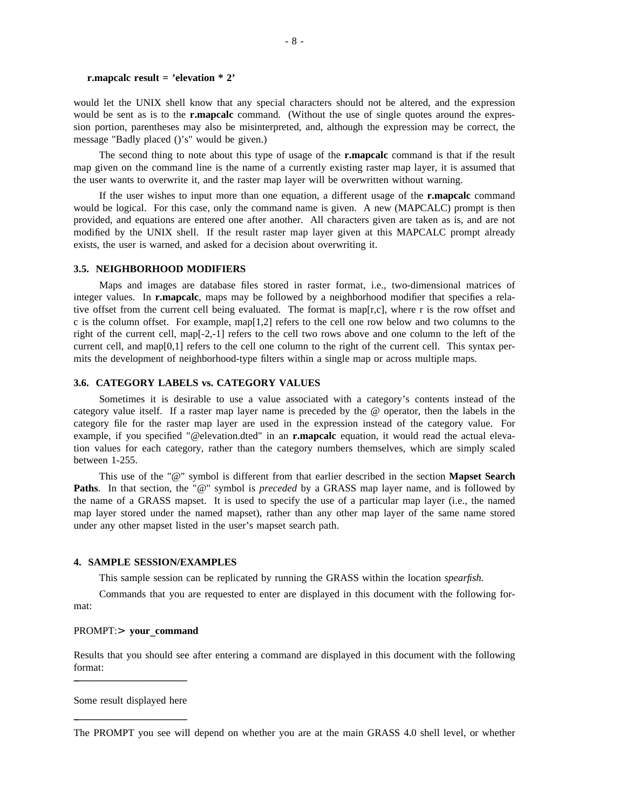#### **r.mapcalc result = 'elevation \* 2'**

would let the UNIX shell know that any special characters should not be altered, and the expression would be sent as is to the **r.mapcalc** command. (Without the use of single quotes around the expression portion, parentheses may also be misinterpreted, and, although the expression may be correct, the message "Badly placed ()'s" would be given.)

The second thing to note about this type of usage of the **r.mapcalc** command is that if the result map given on the command line is the name of a currently existing raster map layer, it is assumed that the user wants to overwrite it, and the raster map layer will be overwritten without warning.

If the user wishes to input more than one equation, a different usage of the **r.mapcalc** command would be logical. For this case, only the command name is given. A new (MAPCALC) prompt is then provided, and equations are entered one after another. All characters given are taken as is, and are not modified by the UNIX shell. If the result raster map layer given at this MAPCALC prompt already exists, the user is warned, and asked for a decision about overwriting it.

### **3.5. NEIGHBORHOOD MODIFIERS**

Maps and images are database files stored in raster format, i.e., two-dimensional matrices of integer values. In **r.mapcalc**, maps may be followed by a neighborhood modifier that specifies a relative offset from the current cell being evaluated. The format is map[r,c], where r is the row offset and c is the column offset. For example, map[1,2] refers to the cell one row below and two columns to the right of the current cell, map[-2,-1] refers to the cell two rows above and one column to the left of the current cell, and map[0,1] refers to the cell one column to the right of the current cell. This syntax permits the development of neighborhood-type filters within a single map or across multiple maps.

### **3.6. CATEGORY LABELS vs. CATEGORY VALUES**

Sometimes it is desirable to use a value associated with a category's contents instead of the category value itself. If a raster map layer name is preceded by the @ operator, then the labels in the category file for the raster map layer are used in the expression instead of the category value. For example, if you specified "@elevation.dted" in an **r.mapcalc** equation, it would read the actual elevation values for each category, rather than the category numbers themselves, which are simply scaled between 1-255.

This use of the "@" symbol is different from that earlier described in the section **Mapset Search Paths**. In that section, the "@" symbol is *preceded* by a GRASS map layer name, and is followed by the name of a GRASS mapset. It is used to specify the use of a particular map layer (i.e., the named map layer stored under the named mapset), rather than any other map layer of the same name stored under any other mapset listed in the user's mapset search path.

### **4. SAMPLE SESSION/EXAMPLES**

This sample session can be replicated by running the GRASS within the location *spearfish.*

Commands that you are requested to enter are displayed in this document with the following format:

### PROMPT:> **your**\_**command**

Results that you should see after entering a command are displayed in this document with the following format: \_\_\_\_\_\_\_\_\_\_\_\_\_\_\_\_\_\_\_\_\_\_\_

Some result displayed here  $\mathcal{L}_\text{max}$ 

The PROMPT you see will depend on whether you are at the main GRASS 4.0 shell level, or whether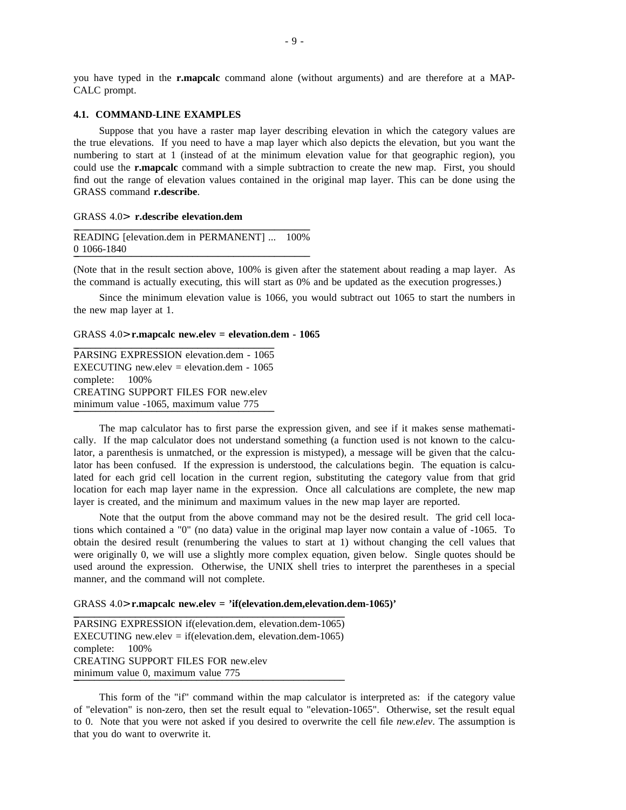you have typed in the **r.mapcalc** command alone (without arguments) and are therefore at a MAP-CALC prompt.

### **4.1. COMMAND-LINE EXAMPLES**

Suppose that you have a raster map layer describing elevation in which the category values are the true elevations. If you need to have a map layer which also depicts the elevation, but you want the numbering to start at 1 (instead of at the minimum elevation value for that geographic region), you could use the **r.mapcalc** command with a simple subtraction to create the new map. First, you should find out the range of elevation values contained in the original map layer. This can be done using the GRASS command **r.describe**.

#### GRASS 4.0> r.describe elevation.dem

```
READING [elevation.dem in PERMANENT] ... 100%
0_______________________________________________ 1066-1840
```
(Note that in the result section above, 100% is given after the statement about reading a map layer. As the command is actually executing, this will start as 0% and be updated as the execution progresses.)

Since the minimum elevation value is 1066, you would subtract out 1065 to start the numbers in the new map layer at 1.

### GRASS 4.0> **r.mapcalc new.elev = elevation.dem - 1065**

PARSING EXPRESSION elevation.dem - 1065 EXECUTING new.elev = elevation.dem -  $1065$ complete: 100% CREATING SUPPORT FILES FOR new.elev minimum value -1065, maximum value 775

The map calculator has to first parse the expression given, and see if it makes sense mathematically. If the map calculator does not understand something (a function used is not known to the calculator, a parenthesis is unmatched, or the expression is mistyped), a message will be given that the calculator has been confused. If the expression is understood, the calculations begin. The equation is calculated for each grid cell location in the current region, substituting the category value from that grid location for each map layer name in the expression. Once all calculations are complete, the new map layer is created, and the minimum and maximum values in the new map layer are reported.

Note that the output from the above command may not be the desired result. The grid cell locations which contained a "0" (no data) value in the original map layer now contain a value of -1065. To obtain the desired result (renumbering the values to start at 1) without changing the cell values that were originally 0, we will use a slightly more complex equation, given below. Single quotes should be used around the expression. Otherwise, the UNIX shell tries to interpret the parentheses in a special manner, and the command will not complete.

#### GRASS 4.0> **r.mapcalc** new.elev = 'if(elevation.dem,elevation.dem-1065)'

PARSING EXPRESSION if(elevation.dem, elevation.dem-1065) EXECUTING new.elev = if(elevation.dem, elevation.dem-1065) complete: 100% CREATING SUPPORT FILES FOR new.elev minimum value 0, maximum value 775

This form of the "if" command within the map calculator is interpreted as: if the category value of "elevation" is non-zero, then set the result equal to "elevation-1065". Otherwise, set the result equal to 0. Note that you were not asked if you desired to overwrite the cell file *new.elev*. The assumption is that you do want to overwrite it.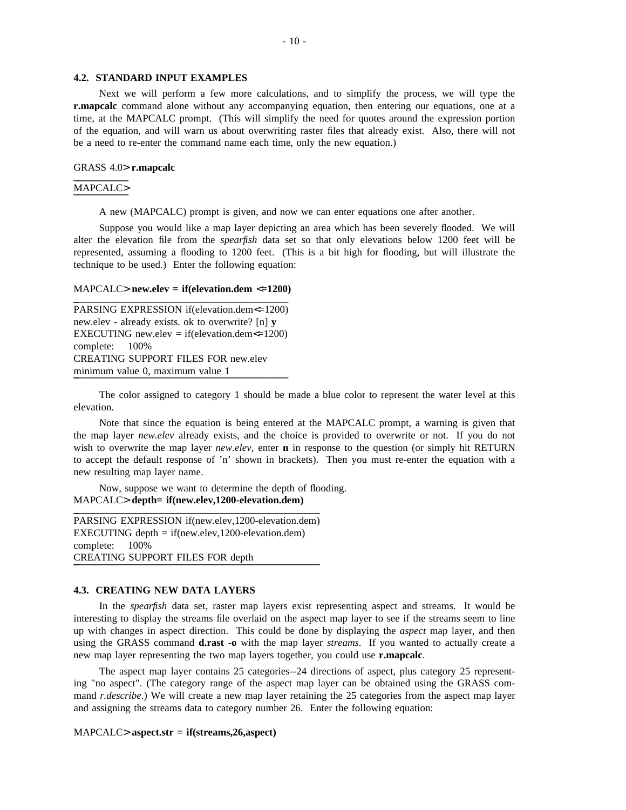#### **4.2. STANDARD INPUT EXAMPLES**

Next we will perform a few more calculations, and to simplify the process, we will type the **r.mapcalc** command alone without any accompanying equation, then entering our equations, one at a time, at the MAPCALC prompt. (This will simplify the need for quotes around the expression portion of the equation, and will warn us about overwriting raster files that already exist. Also, there will not be a need to re-enter the command name each time, only the new equation.)

### GRASS 4.0<sup>&</sup>gt; **r.mapcalc** \_\_\_\_\_\_\_\_\_\_\_

### MAPCALC>

A new (MAPCALC) prompt is given, and now we can enter equations one after another.

Suppose you would like a map layer depicting an area which has been severely flooded. We will alter the elevation file from the *spearfish* data set so that only elevations below 1200 feet will be represented, assuming a flooding to 1200 feet. (This is a bit high for flooding, but will illustrate the technique to be used.) Enter the following equation:

### $MAPCALC > new. elev = if (elevation.dem <  $\leq$ 1200)$

```
PARSING EXPRESSION if(elevation.dem<=1200)
new.elev - already exists. ok to overwrite? [n] y
EXECUTING new.elev = if(elevation.dem\le=1200)
complete: 100%
CREATING SUPPORT FILES FOR new.elev
minimum value 0, maximum value 1
```
The color assigned to category 1 should be made a blue color to represent the water level at this elevation.

Note that since the equation is being entered at the MAPCALC prompt, a warning is given that the map layer *new.elev* already exists, and the choice is provided to overwrite or not. If you do not wish to overwrite the map layer *new.elev*, enter **n** in response to the question (or simply hit RETURN to accept the default response of 'n' shown in brackets). Then you must re-enter the equation with a new resulting map layer name.

Now, suppose we want to determine the depth of flooding. MAPCALC<sup>&</sup>gt; **depth= if(new.elev,1200-elevation.dem)** \_\_\_\_\_\_\_\_\_\_\_\_\_\_\_\_\_\_\_\_\_\_\_\_\_\_\_\_\_\_\_\_\_\_\_\_\_\_\_\_\_\_\_\_\_\_\_\_\_

PARSING EXPRESSION if(new.elev,1200-elevation.dem) EXECUTING depth = if(new.elev,1200-elevation.dem) complete: 100% CREATING SUPPORT FILES FOR depth

### **4.3. CREATING NEW DATA LAYERS**

In the *spearfish* data set, raster map layers exist representing aspect and streams. It would be interesting to display the streams file overlaid on the aspect map layer to see if the streams seem to line up with changes in aspect direction. This could be done by displaying the *aspect* map layer, and then using the GRASS command **d.rast -o** with the map layer *streams*. If you wanted to actually create a new map layer representing the two map layers together, you could use **r.mapcalc**.

The aspect map layer contains 25 categories--24 directions of aspect, plus category 25 representing "no aspect". (The category range of the aspect map layer can be obtained using the GRASS command *r.describe*.) We will create a new map layer retaining the 25 categories from the aspect map layer and assigning the streams data to category number 26. Enter the following equation:

### MAPCALC> **aspect.str = if(streams,26,aspect)**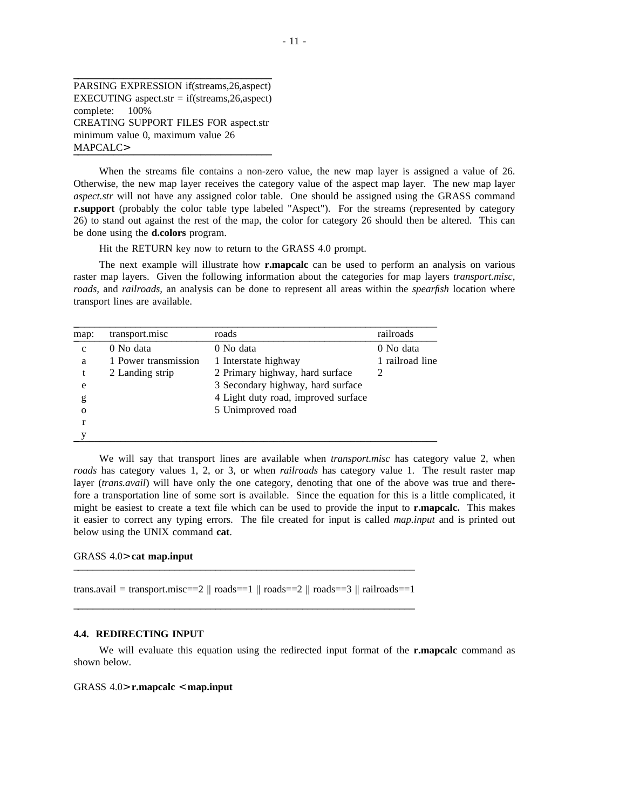PARSING EXPRESSION if(streams,26,aspect) EXECUTING aspect.str =  $if$ (streams, 26, aspect) complete: 100% CREATING SUPPORT FILES FOR aspect.str minimum value 0, maximum value 26 MAPCALC>

 $\mathcal{L}_\mathcal{L}$  , and the set of the set of the set of the set of the set of the set of the set of the set of the set of the set of the set of the set of the set of the set of the set of the set of the set of the set of th

When the streams file contains a non-zero value, the new map layer is assigned a value of 26. Otherwise, the new map layer receives the category value of the aspect map layer. The new map layer *aspect.str* will not have any assigned color table. One should be assigned using the GRASS command **r.support** (probably the color table type labeled "Aspect"). For the streams (represented by category 26) to stand out against the rest of the map, the color for category 26 should then be altered. This can be done using the **d.colors** program.

Hit the RETURN key now to return to the GRASS 4.0 prompt.

The next example will illustrate how **r.mapcalc** can be used to perform an analysis on various raster map layers. Given the following information about the categories for map layers *transport.misc, roads,* and *railroads,* an analysis can be done to represent all areas within the *spearfish* location where transport lines are available.

| map:        | transport.misc       | roads                               | railroads       |
|-------------|----------------------|-------------------------------------|-----------------|
| $\mathbf c$ | 0 No data            | 0 No data                           | 0 No data       |
| a           | 1 Power transmission | 1 Interstate highway                | 1 railroad line |
| t           | 2 Landing strip      | 2 Primary highway, hard surface     |                 |
| e           |                      | 3 Secondary highway, hard surface   |                 |
| g           |                      | 4 Light duty road, improved surface |                 |
| $\Omega$    |                      | 5 Unimproved road                   |                 |
|             |                      |                                     |                 |
|             |                      |                                     |                 |

We will say that transport lines are available when *transport.misc* has category value 2, when *roads* has category values 1, 2, or 3, or when *railroads* has category value 1. The result raster map layer *(trans.avail)* will have only the one category, denoting that one of the above was true and therefore a transportation line of some sort is available. Since the equation for this is a little complicated, it might be easiest to create a text file which can be used to provide the input to **r.mapcalc.** This makes it easier to correct any typing errors. The file created for input is called *map.input* and is printed out below using the UNIX command **cat**.

### GRASS 4.0> cat map.input

```
trans.avail = transport.misc==2 \parallel roads==1 \parallel roads==2 \parallel roads==3 \parallel railroads==1
 \mathcal{L}_\text{max} = \frac{1}{2} \sum_{i=1}^n \mathcal{L}_\text{max} = \frac{1}{2} \sum_{i=1}^n \mathcal{L}_\text{max} = \frac{1}{2} \sum_{i=1}^n \mathcal{L}_\text{max} = \frac{1}{2} \sum_{i=1}^n \mathcal{L}_\text{max} = \frac{1}{2} \sum_{i=1}^n \mathcal{L}_\text{max} = \frac{1}{2} \sum_{i=1}^n \mathcal{L}_\text{max} = \frac{1}{2} \sum_{i=1}^n \mathcal{L}_\text{max} = \frac{1}{2} \sum_{i=
```
#### **4.4. REDIRECTING INPUT**

We will evaluate this equation using the redirected input format of the **r.mapcalc** command as shown below.

### GRASS 4.0> **r.mapcalc** < **map.input**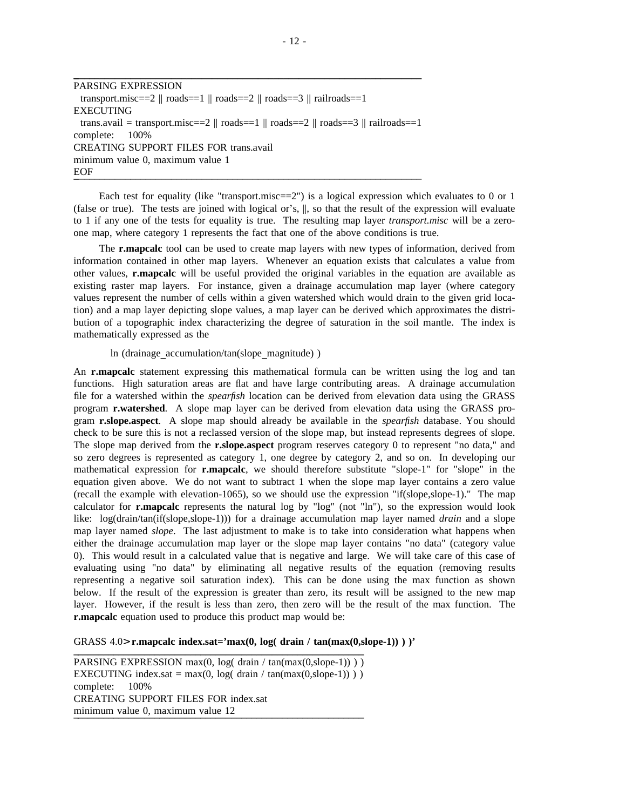PARSING EXPRESSION transport.misc==2  $\parallel$  roads==1  $\parallel$  roads==2  $\parallel$  roads==3  $\parallel$  railroads==1 EXECUTING trans.avail = transport.misc==2  $\parallel$  roads==1  $\parallel$  roads==2  $\parallel$  roads==3  $\parallel$  railroads==1 complete: 100% CREATING SUPPORT FILES FOR trans.avail minimum value 0, maximum value 1  $EOF$ 

\_\_\_\_\_\_\_\_\_\_\_\_\_\_\_\_\_\_\_\_\_\_\_\_\_\_\_\_\_\_\_\_\_\_\_\_\_\_\_\_\_\_\_\_\_\_\_\_\_\_\_\_\_\_\_\_\_\_\_\_\_\_\_\_\_\_\_\_

Each test for equality (like "transport.misc==2") is a logical expression which evaluates to 0 or 1 (false or true). The tests are joined with logical or's, ||, so that the result of the expression will evaluate to 1 if any one of the tests for equality is true. The resulting map layer *transport.misc* will be a zeroone map, where category 1 represents the fact that one of the above conditions is true.

The **r.mapcalc** tool can be used to create map layers with new types of information, derived from information contained in other map layers. Whenever an equation exists that calculates a value from other values, **r.mapcalc** will be useful provided the original variables in the equation are available as existing raster map layers. For instance, given a drainage accumulation map layer (where category values represent the number of cells within a given watershed which would drain to the given grid location) and a map layer depicting slope values, a map layer can be derived which approximates the distribution of a topographic index characterizing the degree of saturation in the soil mantle. The index is mathematically expressed as the

### ln (drainage\_accumulation/tan(slope\_magnitude) )

An **r.mapcalc** statement expressing this mathematical formula can be written using the log and tan functions. High saturation areas are flat and have large contributing areas. A drainage accumulation file for a watershed within the *spearfish* location can be derived from elevation data using the GRASS program **r.watershed**. A slope map layer can be derived from elevation data using the GRASS program **r.slope.aspect**. A slope map should already be available in the *spearfish* database. You should check to be sure this is not a reclassed version of the slope map, but instead represents degrees of slope. The slope map derived from the **r.slope.aspect** program reserves category 0 to represent "no data," and so zero degrees is represented as category 1, one degree by category 2, and so on. In developing our mathematical expression for **r.mapcalc**, we should therefore substitute "slope-1" for "slope" in the equation given above. We do not want to subtract 1 when the slope map layer contains a zero value (recall the example with elevation-1065), so we should use the expression "if(slope,slope-1)." The map calculator for **r.mapcalc** represents the natural log by "log" (not "ln"), so the expression would look like: log(drain/tan(if(slope,slope-1))) for a drainage accumulation map layer named *drain* and a slope map layer named *slope*. The last adjustment to make is to take into consideration what happens when either the drainage accumulation map layer or the slope map layer contains "no data" (category value 0). This would result in a calculated value that is negative and large. We will take care of this case of evaluating using "no data" by eliminating all negative results of the equation (removing results representing a negative soil saturation index). This can be done using the max function as shown below. If the result of the expression is greater than zero, its result will be assigned to the new map layer. However, if the result is less than zero, then zero will be the result of the max function. The **r.mapcalc** equation used to produce this product map would be:

### GRASS  $4.0$ > **r.mapcalc index.sat='max(0, log( drain / tan(max(0,slope-1)) )** )'

PARSING EXPRESSION max(0, log( drain / tan(max(0, slope-1)) ) ) EXECUTING index.sat = max(0, log( drain / tan(max(0,slope-1)) ) ) complete: 100% CREATING SUPPORT FILES FOR index.sat minimum value 0, maximum value 12